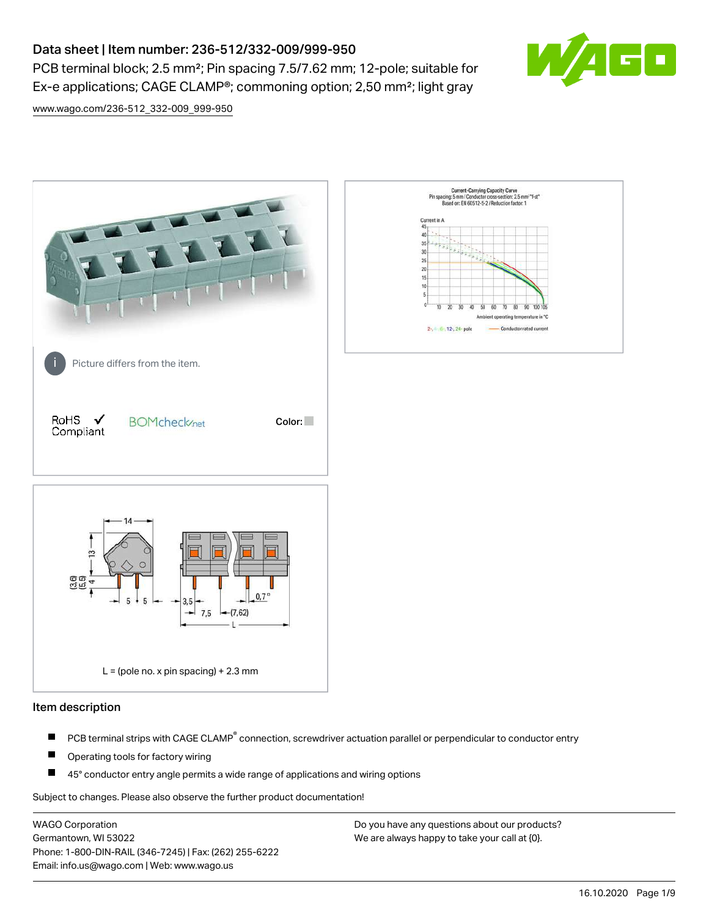# Data sheet | Item number: 236-512/332-009/999-950

PCB terminal block; 2.5 mm²; Pin spacing 7.5/7.62 mm; 12-pole; suitable for Ex-e applications; CAGE CLAMP®; commoning option; 2,50 mm²; light gray



[www.wago.com/236-512\\_332-009\\_999-950](http://www.wago.com/236-512_332-009_999-950)



## Item description

- PCB terminal strips with CAGE CLAMP<sup>®</sup> connection, screwdriver actuation parallel or perpendicular to conductor entry П
- П Operating tools for factory wiring
- П 45° conductor entry angle permits a wide range of applications and wiring options

Subject to changes. Please also observe the further product documentation!

WAGO Corporation Germantown, WI 53022 Phone: 1-800-DIN-RAIL (346-7245) | Fax: (262) 255-6222 Email: info.us@wago.com | Web: www.wago.us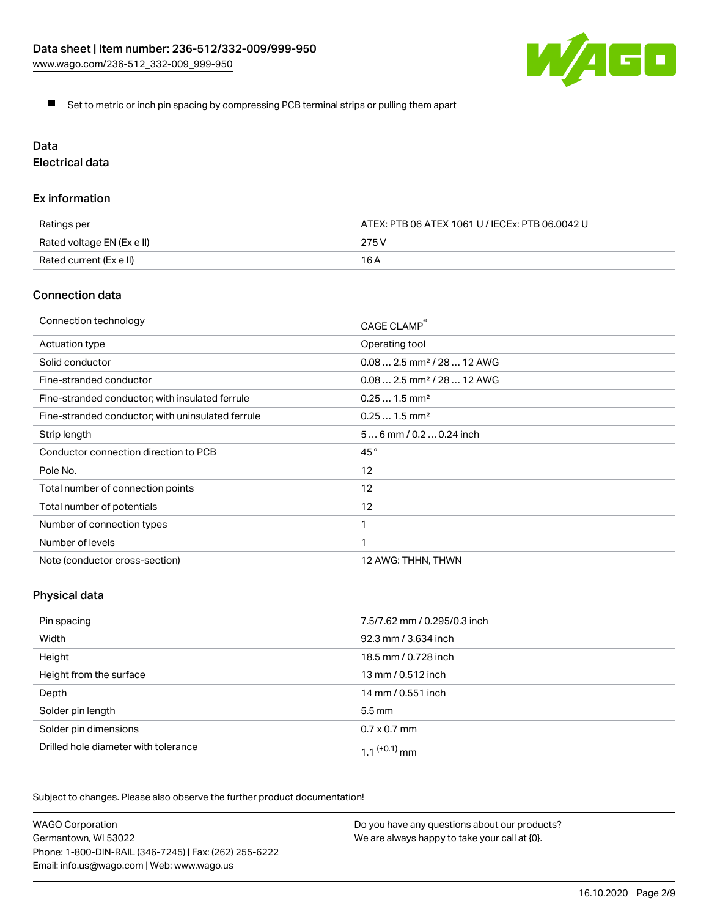

Set to metric or inch pin spacing by compressing PCB terminal strips or pulling them apart

# Data

Electrical data

## Ex information

| Ratings per                | ATEX: PTB 06 ATEX 1061 U / IECEx: PTB 06.0042 U |  |
|----------------------------|-------------------------------------------------|--|
| Rated voltage EN (Ex e II) | 275 V                                           |  |
| Rated current (Ex e II)    | 16 A                                            |  |

# Connection data

| Connection technology                             | CAGE CLAMP®                            |
|---------------------------------------------------|----------------------------------------|
| Actuation type                                    | Operating tool                         |
| Solid conductor                                   | $0.082.5$ mm <sup>2</sup> / 28  12 AWG |
| Fine-stranded conductor                           | $0.082.5$ mm <sup>2</sup> / 28  12 AWG |
| Fine-stranded conductor; with insulated ferrule   | $0.251.5$ mm <sup>2</sup>              |
| Fine-stranded conductor; with uninsulated ferrule | $0.251.5$ mm <sup>2</sup>              |
| Strip length                                      | $56$ mm / 0.2  0.24 inch               |
| Conductor connection direction to PCB             | 45°                                    |
| Pole No.                                          | 12                                     |
| Total number of connection points                 | 12                                     |
| Total number of potentials                        | 12                                     |
| Number of connection types                        |                                        |
| Number of levels                                  | 1                                      |
| Note (conductor cross-section)                    | 12 AWG: THHN, THWN                     |

# Physical data

| Pin spacing                          | 7.5/7.62 mm / 0.295/0.3 inch |
|--------------------------------------|------------------------------|
| Width                                | 92.3 mm / 3.634 inch         |
| Height                               | 18.5 mm / 0.728 inch         |
| Height from the surface              | 13 mm / 0.512 inch           |
| Depth                                | 14 mm / 0.551 inch           |
| Solder pin length                    | $5.5 \,\mathrm{mm}$          |
| Solder pin dimensions                | $0.7 \times 0.7$ mm          |
| Drilled hole diameter with tolerance | 1.1 $(+0.1)$ mm              |

Subject to changes. Please also observe the further product documentation!

| <b>WAGO Corporation</b>                                | Do you have any questions about our products? |
|--------------------------------------------------------|-----------------------------------------------|
| Germantown, WI 53022                                   | We are always happy to take your call at {0}. |
| Phone: 1-800-DIN-RAIL (346-7245)   Fax: (262) 255-6222 |                                               |
| Email: info.us@wago.com   Web: www.wago.us             |                                               |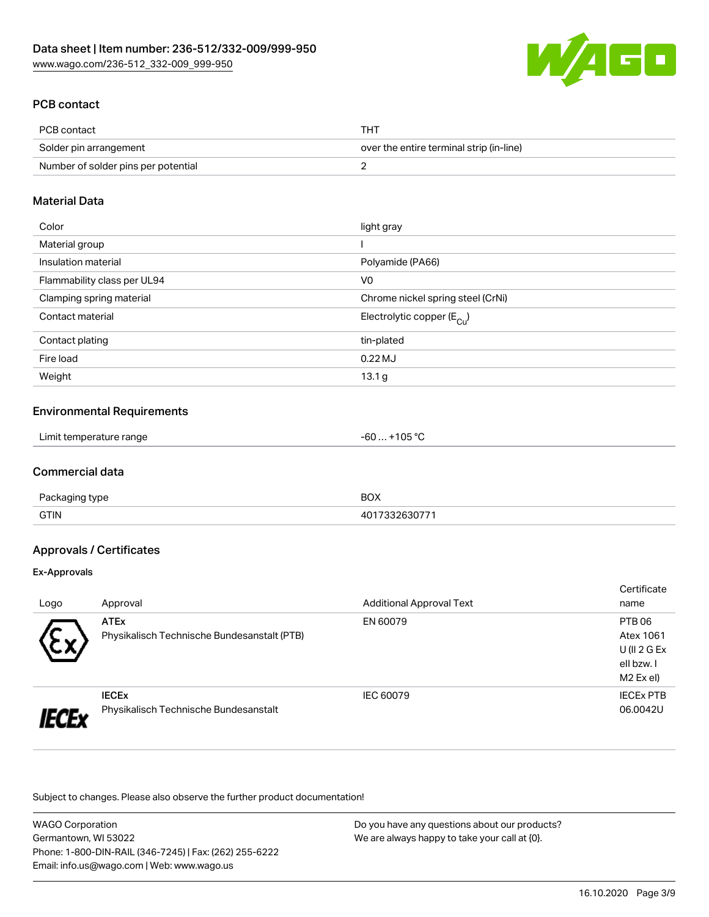

# PCB contact

| PCB contact                         | THT                                      |
|-------------------------------------|------------------------------------------|
| Solder pin arrangement              | over the entire terminal strip (in-line) |
| Number of solder pins per potential |                                          |

### Material Data

| Color                       | light gray                            |
|-----------------------------|---------------------------------------|
| Material group              |                                       |
| Insulation material         | Polyamide (PA66)                      |
| Flammability class per UL94 | V <sub>0</sub>                        |
| Clamping spring material    | Chrome nickel spring steel (CrNi)     |
| Contact material            | Electrolytic copper $(E_{\text{Cu}})$ |
| Contact plating             | tin-plated                            |
| Fire load                   | $0.22$ MJ                             |
| Weight                      | 13.1 <sub>g</sub>                     |

### Environmental Requirements

| Limit temperature range | +105 °C<br>-60 |  |
|-------------------------|----------------|--|
|-------------------------|----------------|--|

# Commercial data

| Pac.        | <b>DOV</b>     |
|-------------|----------------|
| tvne        | ∧שם            |
| <b>GTIN</b> | $ -$<br>$   -$ |

# Approvals / Certificates

#### Ex-Approvals

|                                                             |                                       |                                 | Certificate      |
|-------------------------------------------------------------|---------------------------------------|---------------------------------|------------------|
| Logo                                                        | Approval                              | <b>Additional Approval Text</b> | name             |
|                                                             | <b>ATEx</b>                           | EN 60079                        | PTB 06           |
| Physikalisch Technische Bundesanstalt (PTB)<br>$\checkmark$ |                                       | Atex 1061                       |                  |
|                                                             |                                       |                                 | $U($ ll 2 G Ex   |
|                                                             |                                       |                                 | ell bzw. I       |
|                                                             |                                       |                                 | M2 Ex el)        |
|                                                             | <b>IECEX</b>                          | IEC 60079                       | <b>IECEX PTB</b> |
|                                                             | Physikalisch Technische Bundesanstalt |                                 | 06.0042U         |

Subject to changes. Please also observe the further product documentation!

WAGO Corporation Germantown, WI 53022 Phone: 1-800-DIN-RAIL (346-7245) | Fax: (262) 255-6222 Email: info.us@wago.com | Web: www.wago.us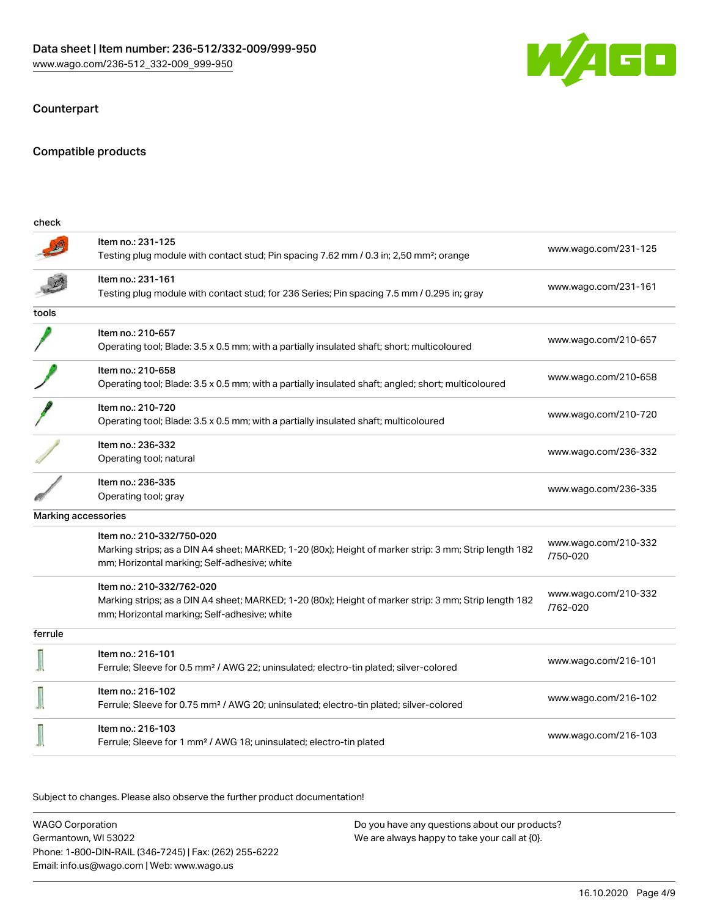

# **Counterpart**

## Compatible products

| check               |                                                                                                                                                                                    |                                  |
|---------------------|------------------------------------------------------------------------------------------------------------------------------------------------------------------------------------|----------------------------------|
|                     | Item no.: 231-125<br>Testing plug module with contact stud; Pin spacing 7.62 mm / 0.3 in; 2,50 mm <sup>2</sup> ; orange                                                            | www.wago.com/231-125             |
|                     | Item no.: 231-161<br>Testing plug module with contact stud; for 236 Series; Pin spacing 7.5 mm / 0.295 in; gray                                                                    | www.wago.com/231-161             |
| tools               |                                                                                                                                                                                    |                                  |
|                     | Item no.: 210-657<br>Operating tool; Blade: 3.5 x 0.5 mm; with a partially insulated shaft; short; multicoloured                                                                   | www.wago.com/210-657             |
|                     | Item no.: 210-658<br>Operating tool; Blade: 3.5 x 0.5 mm; with a partially insulated shaft; angled; short; multicoloured                                                           | www.wago.com/210-658             |
|                     | Item no.: 210-720<br>Operating tool; Blade: 3.5 x 0.5 mm; with a partially insulated shaft; multicoloured                                                                          | www.wago.com/210-720             |
|                     | Item no.: 236-332<br>Operating tool; natural                                                                                                                                       | www.wago.com/236-332             |
|                     | Item no.: 236-335<br>Operating tool; gray                                                                                                                                          | www.wago.com/236-335             |
| Marking accessories |                                                                                                                                                                                    |                                  |
|                     | Item no.: 210-332/750-020<br>Marking strips; as a DIN A4 sheet; MARKED; 1-20 (80x); Height of marker strip: 3 mm; Strip length 182<br>mm; Horizontal marking; Self-adhesive; white | www.wago.com/210-332<br>/750-020 |
|                     | Item no.: 210-332/762-020<br>Marking strips; as a DIN A4 sheet; MARKED; 1-20 (80x); Height of marker strip: 3 mm; Strip length 182<br>mm; Horizontal marking; Self-adhesive; white | www.wago.com/210-332<br>/762-020 |
| ferrule             |                                                                                                                                                                                    |                                  |
|                     | Item no.: 216-101<br>Ferrule; Sleeve for 0.5 mm <sup>2</sup> / AWG 22; uninsulated; electro-tin plated; silver-colored                                                             | www.wago.com/216-101             |
|                     | Item no.: 216-102<br>Ferrule; Sleeve for 0.75 mm <sup>2</sup> / AWG 20; uninsulated; electro-tin plated; silver-colored                                                            | www.wago.com/216-102             |
|                     | Item no.: 216-103<br>Ferrule; Sleeve for 1 mm <sup>2</sup> / AWG 18; uninsulated; electro-tin plated                                                                               | www.wago.com/216-103             |
|                     |                                                                                                                                                                                    |                                  |

Subject to changes. Please also observe the further product documentation!

WAGO Corporation Germantown, WI 53022 Phone: 1-800-DIN-RAIL (346-7245) | Fax: (262) 255-6222 Email: info.us@wago.com | Web: www.wago.us Do you have any questions about our products? We are always happy to take your call at {0}.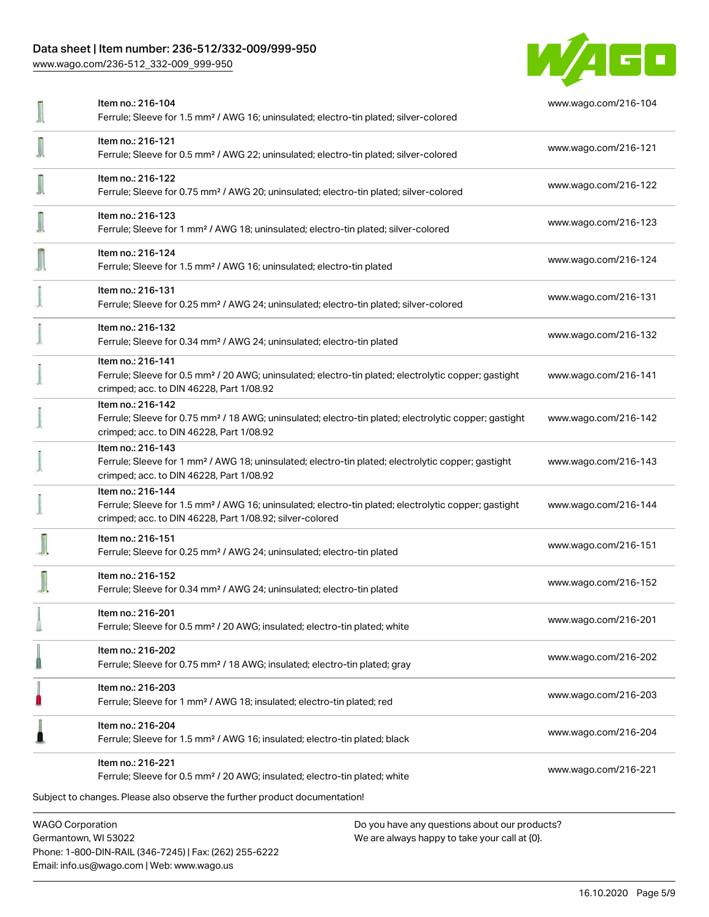# Data sheet | Item number: 236-512/332-009/999-950

[www.wago.com/236-512\\_332-009\\_999-950](http://www.wago.com/236-512_332-009_999-950)



| Item no.: 216-104<br>Ferrule; Sleeve for 1.5 mm <sup>2</sup> / AWG 16; uninsulated; electro-tin plated; silver-colored                                                                            | www.wago.com/216-104 |
|---------------------------------------------------------------------------------------------------------------------------------------------------------------------------------------------------|----------------------|
| Item no.: 216-121<br>Ferrule; Sleeve for 0.5 mm <sup>2</sup> / AWG 22; uninsulated; electro-tin plated; silver-colored                                                                            | www.wago.com/216-121 |
| Item no.: 216-122<br>Ferrule; Sleeve for 0.75 mm <sup>2</sup> / AWG 20; uninsulated; electro-tin plated; silver-colored                                                                           | www.wago.com/216-122 |
| Item no.: 216-123<br>Ferrule; Sleeve for 1 mm <sup>2</sup> / AWG 18; uninsulated; electro-tin plated; silver-colored                                                                              | www.wago.com/216-123 |
| Item no.: 216-124<br>Ferrule; Sleeve for 1.5 mm <sup>2</sup> / AWG 16; uninsulated; electro-tin plated                                                                                            | www.wago.com/216-124 |
| Item no.: 216-131<br>Ferrule; Sleeve for 0.25 mm <sup>2</sup> / AWG 24; uninsulated; electro-tin plated; silver-colored                                                                           | www.wago.com/216-131 |
| Item no.: 216-132<br>Ferrule; Sleeve for 0.34 mm <sup>2</sup> / AWG 24; uninsulated; electro-tin plated                                                                                           | www.wago.com/216-132 |
| Item no.: 216-141<br>Ferrule; Sleeve for 0.5 mm <sup>2</sup> / 20 AWG; uninsulated; electro-tin plated; electrolytic copper; gastight<br>crimped; acc. to DIN 46228, Part 1/08.92                 | www.wago.com/216-141 |
| Item no.: 216-142<br>Ferrule; Sleeve for 0.75 mm <sup>2</sup> / 18 AWG; uninsulated; electro-tin plated; electrolytic copper; gastight<br>crimped; acc. to DIN 46228, Part 1/08.92                | www.wago.com/216-142 |
| Item no.: 216-143<br>Ferrule; Sleeve for 1 mm <sup>2</sup> / AWG 18; uninsulated; electro-tin plated; electrolytic copper; gastight<br>crimped; acc. to DIN 46228, Part 1/08.92                   | www.wago.com/216-143 |
| Item no.: 216-144<br>Ferrule; Sleeve for 1.5 mm <sup>2</sup> / AWG 16; uninsulated; electro-tin plated; electrolytic copper; gastight<br>crimped; acc. to DIN 46228, Part 1/08.92; silver-colored | www.wago.com/216-144 |
| Item no.: 216-151<br>Ferrule; Sleeve for 0.25 mm <sup>2</sup> / AWG 24; uninsulated; electro-tin plated                                                                                           | www.wago.com/216-151 |
| Item no.: 216-152<br>Ferrule; Sleeve for 0.34 mm <sup>2</sup> / AWG 24; uninsulated; electro-tin plated                                                                                           | www.wago.com/216-152 |
| Item no.: 216-201<br>Ferrule; Sleeve for 0.5 mm <sup>2</sup> / 20 AWG; insulated; electro-tin plated; white                                                                                       | www.wago.com/216-201 |
| Item no.: 216-202<br>Ferrule; Sleeve for 0.75 mm <sup>2</sup> / 18 AWG; insulated; electro-tin plated; gray                                                                                       | www.wago.com/216-202 |
| Item no.: 216-203<br>Ferrule; Sleeve for 1 mm <sup>2</sup> / AWG 18; insulated; electro-tin plated; red                                                                                           | www.wago.com/216-203 |
| Item no.: 216-204<br>Ferrule; Sleeve for 1.5 mm <sup>2</sup> / AWG 16; insulated; electro-tin plated; black                                                                                       | www.wago.com/216-204 |
| Item no.: 216-221<br>Ferrule; Sleeve for 0.5 mm <sup>2</sup> / 20 AWG; insulated; electro-tin plated; white                                                                                       | www.wago.com/216-221 |
| Subject to changes. Please also observe the further product documentation!                                                                                                                        |                      |
| <b>WAGO Corporation</b><br>Do you have any questions about our products?                                                                                                                          |                      |

Germantown, WI 53022 Phone: 1-800-DIN-RAIL (346-7245) | Fax: (262) 255-6222 Email: info.us@wago.com | Web: www.wago.us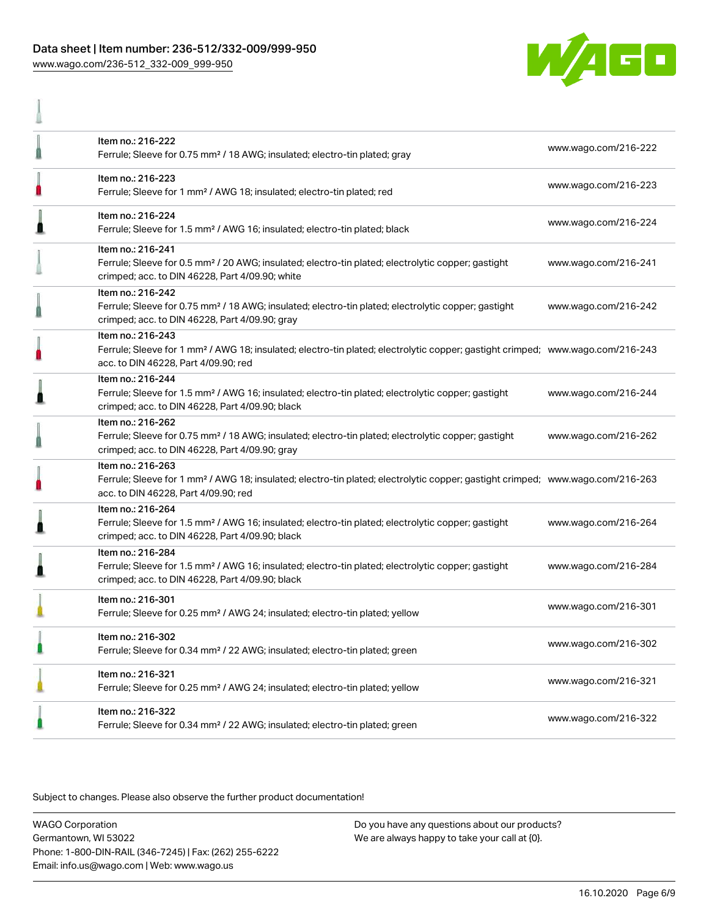# Data sheet | Item number: 236-512/332-009/999-950 [www.wago.com/236-512\\_332-009\\_999-950](http://www.wago.com/236-512_332-009_999-950)

A



| Item no.: 216-222<br>Ferrule; Sleeve for 0.75 mm <sup>2</sup> / 18 AWG; insulated; electro-tin plated; gray                                                                                             | www.wago.com/216-222 |
|---------------------------------------------------------------------------------------------------------------------------------------------------------------------------------------------------------|----------------------|
| Item no.: 216-223<br>Ferrule; Sleeve for 1 mm <sup>2</sup> / AWG 18; insulated; electro-tin plated; red                                                                                                 | www.wago.com/216-223 |
| Item no.: 216-224<br>Ferrule; Sleeve for 1.5 mm <sup>2</sup> / AWG 16; insulated; electro-tin plated; black                                                                                             | www.wago.com/216-224 |
| Item no.: 216-241<br>Ferrule; Sleeve for 0.5 mm <sup>2</sup> / 20 AWG; insulated; electro-tin plated; electrolytic copper; gastight<br>crimped; acc. to DIN 46228, Part 4/09.90; white                  | www.wago.com/216-241 |
| Item no.: 216-242<br>Ferrule; Sleeve for 0.75 mm <sup>2</sup> / 18 AWG; insulated; electro-tin plated; electrolytic copper; gastight<br>crimped; acc. to DIN 46228, Part 4/09.90; gray                  | www.wago.com/216-242 |
| Item no.: 216-243<br>Ferrule; Sleeve for 1 mm <sup>2</sup> / AWG 18; insulated; electro-tin plated; electrolytic copper; gastight crimped; www.wago.com/216-243<br>acc. to DIN 46228, Part 4/09.90; red |                      |
| Item no.: 216-244<br>Ferrule; Sleeve for 1.5 mm <sup>2</sup> / AWG 16; insulated; electro-tin plated; electrolytic copper; gastight<br>crimped; acc. to DIN 46228, Part 4/09.90; black                  | www.wago.com/216-244 |
| Item no.: 216-262<br>Ferrule; Sleeve for 0.75 mm <sup>2</sup> / 18 AWG; insulated; electro-tin plated; electrolytic copper; gastight<br>crimped; acc. to DIN 46228, Part 4/09.90; gray                  | www.wago.com/216-262 |
| Item no.: 216-263<br>Ferrule; Sleeve for 1 mm <sup>2</sup> / AWG 18; insulated; electro-tin plated; electrolytic copper; gastight crimped; www.wago.com/216-263<br>acc. to DIN 46228, Part 4/09.90; red |                      |
| Item no.: 216-264<br>Ferrule; Sleeve for 1.5 mm <sup>2</sup> / AWG 16; insulated; electro-tin plated; electrolytic copper; gastight<br>crimped; acc. to DIN 46228, Part 4/09.90; black                  | www.wago.com/216-264 |
| Item no.: 216-284<br>Ferrule; Sleeve for 1.5 mm <sup>2</sup> / AWG 16; insulated; electro-tin plated; electrolytic copper; gastight<br>crimped; acc. to DIN 46228, Part 4/09.90; black                  | www.wago.com/216-284 |
| Item no.: 216-301<br>Ferrule; Sleeve for 0.25 mm <sup>2</sup> / AWG 24; insulated; electro-tin plated; yellow                                                                                           | www.wago.com/216-301 |
| Item no.: 216-302<br>Ferrule; Sleeve for 0.34 mm <sup>2</sup> / 22 AWG; insulated; electro-tin plated; green                                                                                            | www.wago.com/216-302 |
| Item no.: 216-321<br>Ferrule; Sleeve for 0.25 mm <sup>2</sup> / AWG 24; insulated; electro-tin plated; yellow                                                                                           | www.wago.com/216-321 |
| Item no.: 216-322<br>Ferrule; Sleeve for 0.34 mm <sup>2</sup> / 22 AWG; insulated; electro-tin plated; green                                                                                            | www.wago.com/216-322 |

Subject to changes. Please also observe the further product documentation!

WAGO Corporation Germantown, WI 53022 Phone: 1-800-DIN-RAIL (346-7245) | Fax: (262) 255-6222 Email: info.us@wago.com | Web: www.wago.us Do you have any questions about our products? We are always happy to take your call at {0}.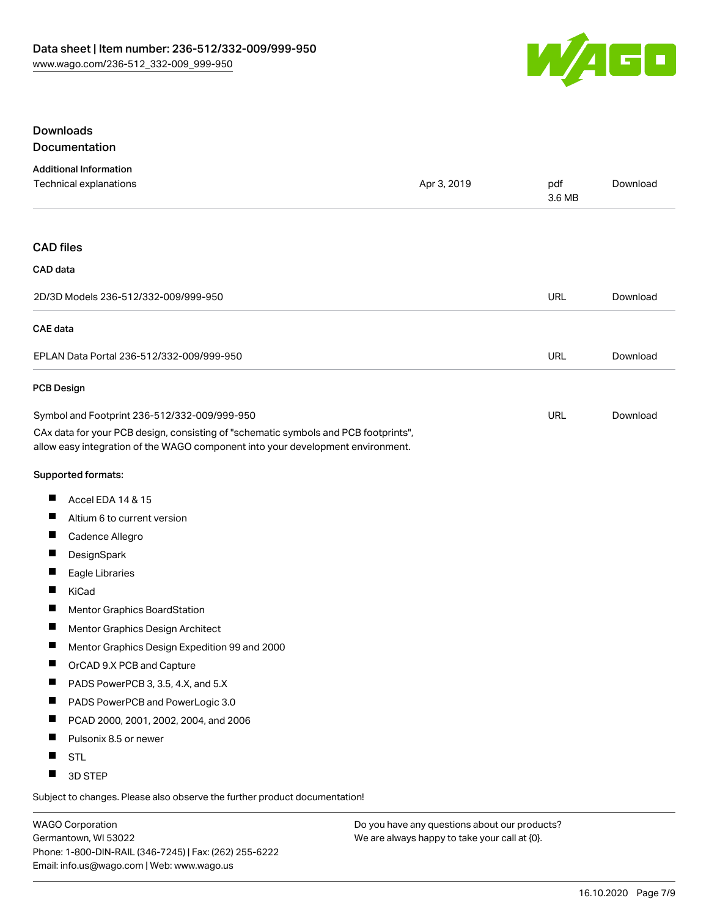

# Downloads Documentation

| <b>Additional Information</b>                                                                                                                                          |             |               |          |
|------------------------------------------------------------------------------------------------------------------------------------------------------------------------|-------------|---------------|----------|
| Technical explanations                                                                                                                                                 | Apr 3, 2019 | pdf<br>3.6 MB | Download |
| <b>CAD files</b>                                                                                                                                                       |             |               |          |
| CAD data                                                                                                                                                               |             |               |          |
| 2D/3D Models 236-512/332-009/999-950                                                                                                                                   |             | <b>URL</b>    | Download |
| <b>CAE</b> data                                                                                                                                                        |             |               |          |
| EPLAN Data Portal 236-512/332-009/999-950                                                                                                                              |             | URL           | Download |
| <b>PCB Design</b>                                                                                                                                                      |             |               |          |
| Symbol and Footprint 236-512/332-009/999-950                                                                                                                           |             | URL           | Download |
| CAx data for your PCB design, consisting of "schematic symbols and PCB footprints",<br>allow easy integration of the WAGO component into your development environment. |             |               |          |
| Supported formats:                                                                                                                                                     |             |               |          |
| ш<br>Accel EDA 14 & 15                                                                                                                                                 |             |               |          |
| п<br>Altium 6 to current version                                                                                                                                       |             |               |          |
| ш<br>Cadence Allegro                                                                                                                                                   |             |               |          |
| ш<br>DesignSpark                                                                                                                                                       |             |               |          |
| Ш<br>Eagle Libraries                                                                                                                                                   |             |               |          |
| ш<br>KiCad                                                                                                                                                             |             |               |          |
| ш<br>Mentor Graphics BoardStation                                                                                                                                      |             |               |          |
| ш<br>Mentor Graphics Design Architect                                                                                                                                  |             |               |          |
| ш<br>Mentor Graphics Design Expedition 99 and 2000                                                                                                                     |             |               |          |
| ш<br>OrCAD 9.X PCB and Capture                                                                                                                                         |             |               |          |
| PADS PowerPCB 3, 3.5, 4.X, and 5.X                                                                                                                                     |             |               |          |
| PADS PowerPCB and PowerLogic 3.0                                                                                                                                       |             |               |          |
| ш<br>PCAD 2000, 2001, 2002, 2004, and 2006                                                                                                                             |             |               |          |
| Pulsonix 8.5 or newer                                                                                                                                                  |             |               |          |
| <b>STL</b>                                                                                                                                                             |             |               |          |
| 3D STEP                                                                                                                                                                |             |               |          |

Subject to changes. Please also observe the further product documentation!

WAGO Corporation Germantown, WI 53022 Phone: 1-800-DIN-RAIL (346-7245) | Fax: (262) 255-6222 Email: info.us@wago.com | Web: www.wago.us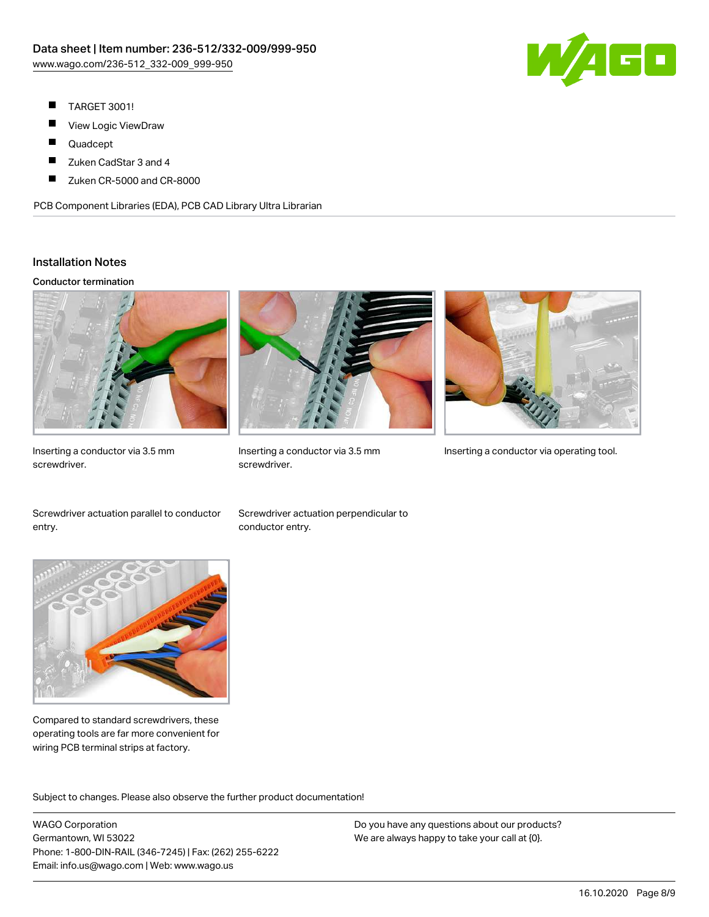

- П TARGET 3001!
- ш View Logic ViewDraw
- П Quadcept
- $\blacksquare$ Zuken CadStar 3 and 4
- Zuken CR-5000 and CR-8000 П

PCB Component Libraries (EDA), PCB CAD Library Ultra Librarian

## Installation Notes

#### Conductor termination



Inserting a conductor via 3.5 mm screwdriver.



screwdriver.



Inserting a conductor via 3.5 mm Inserting a conductor via operating tool.

Screwdriver actuation parallel to conductor entry.

Screwdriver actuation perpendicular to conductor entry.



Compared to standard screwdrivers, these operating tools are far more convenient for wiring PCB terminal strips at factory.

.<br>Subject to changes. Please also observe the further product documentation!

WAGO Corporation Germantown, WI 53022 Phone: 1-800-DIN-RAIL (346-7245) | Fax: (262) 255-6222 Email: info.us@wago.com | Web: www.wago.us